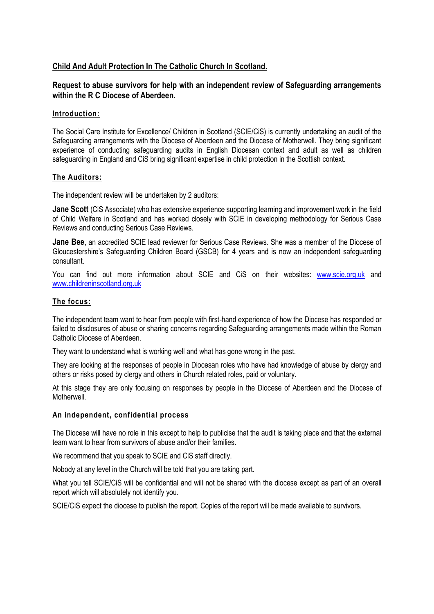# **Child And Adult Protection In The Catholic Church In Scotland.**

## **Request to abuse survivors for help with an independent review of Safeguarding arrangements within the R C Diocese of Aberdeen.**

#### **Introduction:**

The Social Care Institute for Excellence/ Children in Scotland (SCIE/CiS) is currently undertaking an audit of the Safeguarding arrangements with the Diocese of Aberdeen and the Diocese of Motherwell. They bring significant experience of conducting safeguarding audits in English Diocesan context and adult as well as children safeguarding in England and CiS bring significant expertise in child protection in the Scottish context.

#### **The Auditors:**

The independent review will be undertaken by 2 auditors:

**Jane Scott** (CiS Associate) who has extensive experience supporting learning and improvement work in the field of Child Welfare in Scotland and has worked closely with SCIE in developing methodology for Serious Case Reviews and conducting Serious Case Reviews.

**Jane Bee**, an accredited SCIE lead reviewer for Serious Case Reviews. She was a member of the Diocese of Gloucestershire's Safeguarding Children Board (GSCB) for 4 years and is now an independent safeguarding consultant.

You can find out more information about SCIE and CiS on their websites: [www.scie.org.uk](http://www.scie.org.uk/) and [www.childreninscotland.org.uk](http://www.childreninscotland.org.uk/)

### **The focus:**

The independent team want to hear from people with first-hand experience of how the Diocese has responded or failed to disclosures of abuse or sharing concerns regarding Safeguarding arrangements made within the Roman Catholic Diocese of Aberdeen.

They want to understand what is working well and what has gone wrong in the past.

They are looking at the responses of people in Diocesan roles who have had knowledge of abuse by clergy and others or risks posed by clergy and others in Church related roles, paid or voluntary.

At this stage they are only focusing on responses by people in the Diocese of Aberdeen and the Diocese of **Motherwell** 

#### **An independent, confidential process**

The Diocese will have no role in this except to help to publicise that the audit is taking place and that the external team want to hear from survivors of abuse and/or their families.

We recommend that you speak to SCIE and CiS staff directly.

Nobody at any level in the Church will be told that you are taking part.

What you tell SCIE/CIS will be confidential and will not be shared with the diocese except as part of an overall report which will absolutely not identify you.

SCIE/CiS expect the diocese to publish the report. Copies of the report will be made available to survivors.